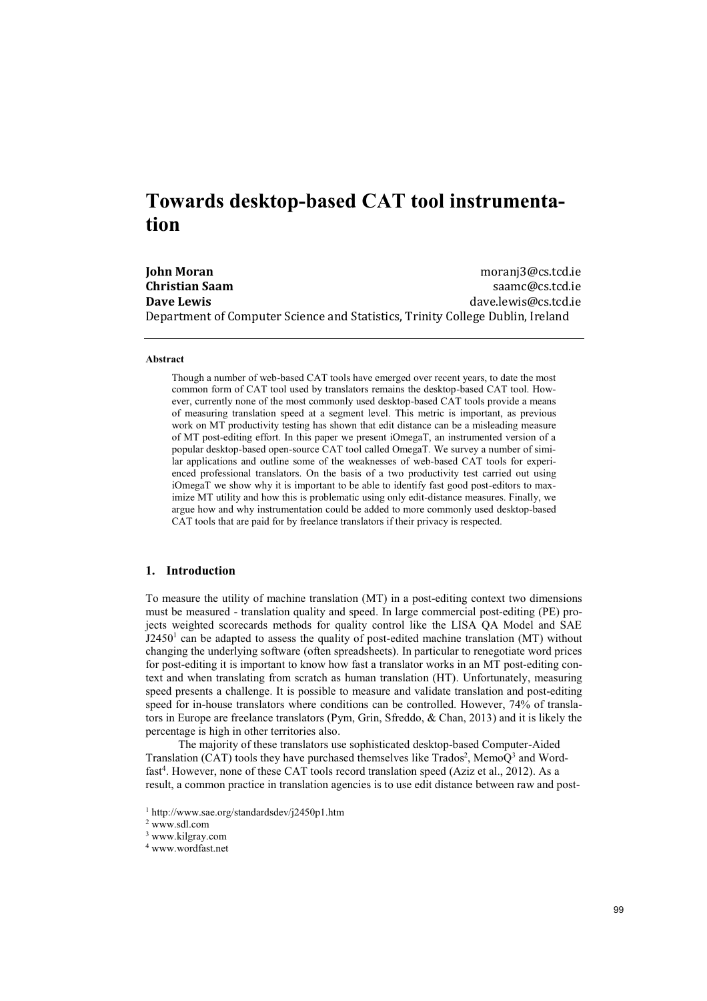# **Towards desktop-based CAT tool instrumentation**

**John Moran**  moranj3@cs.tcd.ie **Christian Saam** saamca saamca saamca saamca saamca saamca saamca saamca saamca saamca saamca saamca saamca saamca saamca saamca saamca saamca saamca saamca saamca saamca saamca saamca saamca saamca saamca saamca saamca sa **Dave Lewis Dave Lewis dave.lewis dave.lewis dave.lewis dave.lewis dave.lewis dave.lewis dave.lewis dave.lewis dave.lewis dave.lewis dave.lewis dave.lewis dave.lewis dave.lewis dave.lewis** Department of Computer Science and Statistics, Trinity College Dublin, Ireland

#### **Abstract**

Though a number of web-based CAT tools have emerged over recent years, to date the most common form of CAT tool used by translators remains the desktop-based CAT tool. However, currently none of the most commonly used desktop-based CAT tools provide a means of measuring translation speed at a segment level. This metric is important, as previous work on MT productivity testing has shown that edit distance can be a misleading measure of MT post-editing effort. In this paper we present iOmegaT, an instrumented version of a popular desktop-based open-source CAT tool called OmegaT. We survey a number of similar applications and outline some of the weaknesses of web-based CAT tools for experienced professional translators. On the basis of a two productivity test carried out using iOmegaT we show why it is important to be able to identify fast good post-editors to maximize MT utility and how this is problematic using only edit-distance measures. Finally, we argue how and why instrumentation could be added to more commonly used desktop-based CAT tools that are paid for by freelance translators if their privacy is respected.

# **1. Introduction**

To measure the utility of machine translation (MT) in a post-editing context two dimensions must be measured - translation quality and speed. In large commercial post-editing (PE) projects weighted scorecards methods for quality control like the LISA QA Model and SAE  $J2450<sup>1</sup>$  can be adapted to assess the quality of post-edited machine translation (MT) without changing the underlying software (often spreadsheets). In particular to renegotiate word prices for post-editing it is important to know how fast a translator works in an MT post-editing context and when translating from scratch as human translation (HT). Unfortunately, measuring speed presents a challenge. It is possible to measure and validate translation and post-editing speed for in-house translators where conditions can be controlled. However, 74% of translators in Europe are freelance translators (Pym, Grin, Sfreddo, & Chan, 2013) and it is likely the percentage is high in other territories also.

The majority of these translators use sophisticated desktop-based Computer-Aided Translation (CAT) tools they have purchased themselves like Trados<sup>2</sup>, Memo $Q<sup>3</sup>$  and Wordfast<sup>4</sup>. However, none of these CAT tools record translation speed (Aziz et al., 2012). As a result, a common practice in translation agencies is to use edit distance between raw and post-

2 www.sdl.com

<sup>1</sup> http://www.sae.org/standardsdev/j2450p1.htm

<sup>3</sup> www.kilgray.com

<sup>4</sup> www.wordfast.net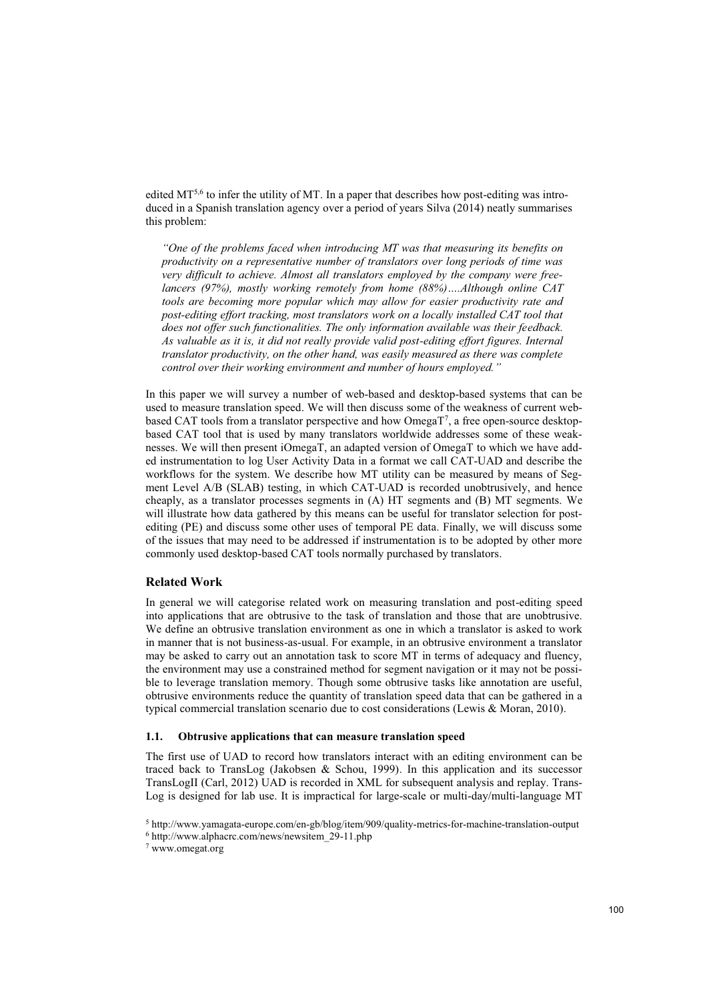edited  $MT^{5,6}$  to infer the utility of MT. In a paper that describes how post-editing was introduced in a Spanish translation agency over a period of years Silva (2014) neatly summarises this problem:

*"One of the problems faced when introducing MT was that measuring its benefits on productivity on a representative number of translators over long periods of time was very difficult to achieve. Almost all translators employed by the company were freelancers (97%), mostly working remotely from home (88%)….Although online CAT tools are becoming more popular which may allow for easier productivity rate and post-editing effort tracking, most translators work on a locally installed CAT tool that does not offer such functionalities. The only information available was their feedback. As valuable as it is, it did not really provide valid post-editing effort figures. Internal translator productivity, on the other hand, was easily measured as there was complete control over their working environment and number of hours employed."*

In this paper we will survey a number of web-based and desktop-based systems that can be used to measure translation speed. We will then discuss some of the weakness of current webbased CAT tools from a translator perspective and how OmegaT<sup>7</sup>, a free open-source desktopbased CAT tool that is used by many translators worldwide addresses some of these weaknesses. We will then present iOmegaT, an adapted version of OmegaT to which we have added instrumentation to log User Activity Data in a format we call CAT-UAD and describe the workflows for the system. We describe how MT utility can be measured by means of Segment Level A/B (SLAB) testing, in which CAT-UAD is recorded unobtrusively, and hence cheaply, as a translator processes segments in (A) HT segments and (B) MT segments. We will illustrate how data gathered by this means can be useful for translator selection for postediting (PE) and discuss some other uses of temporal PE data. Finally, we will discuss some of the issues that may need to be addressed if instrumentation is to be adopted by other more commonly used desktop-based CAT tools normally purchased by translators.

# **Related Work**

In general we will categorise related work on measuring translation and post-editing speed into applications that are obtrusive to the task of translation and those that are unobtrusive. We define an obtrusive translation environment as one in which a translator is asked to work in manner that is not business-as-usual. For example, in an obtrusive environment a translator may be asked to carry out an annotation task to score MT in terms of adequacy and fluency, the environment may use a constrained method for segment navigation or it may not be possible to leverage translation memory. Though some obtrusive tasks like annotation are useful, obtrusive environments reduce the quantity of translation speed data that can be gathered in a typical commercial translation scenario due to cost considerations (Lewis & Moran, 2010).

### **1.1. Obtrusive applications that can measure translation speed**

The first use of UAD to record how translators interact with an editing environment can be traced back to TransLog (Jakobsen & Schou, 1999). In this application and its successor TransLogII (Carl, 2012) UAD is recorded in XML for subsequent analysis and replay. Trans-Log is designed for lab use. It is impractical for large-scale or multi-day/multi-language MT

 $^5$ http://www.yamagata-europe.com/en-gb/blog/item/909/quality-metrics-for-machine-translation-output  $^6$ http://www.alphacrc.com/news/newsitem\_29-11.php

<sup>7</sup> www.omegat.org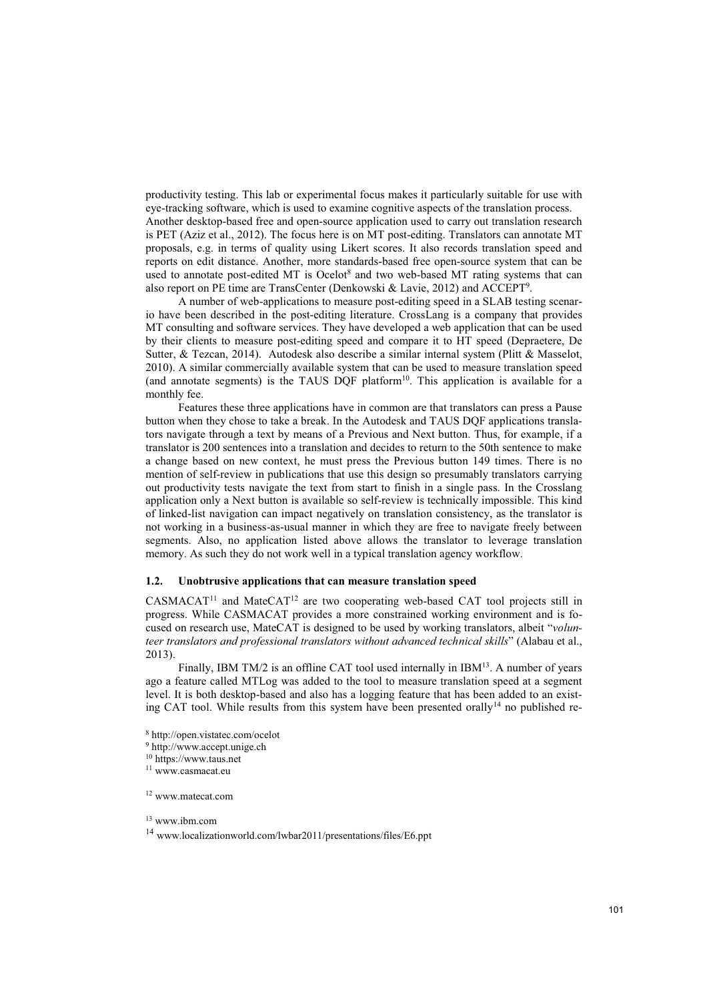productivity testing. This lab or experimental focus makes it particularly suitable for use with eye-tracking software, which is used to examine cognitive aspects of the translation process. Another desktop-based free and open-source application used to carry out translation research is PET (Aziz et al., 2012). The focus here is on MT post-editing. Translators can annotate MT proposals, e.g. in terms of quality using Likert scores. It also records translation speed and reports on edit distance. Another, more standards-based free open-source system that can be used to annotate post-edited MT is Ocelot<sup>8</sup> and two web-based MT rating systems that can also report on PE time are TransCenter (Denkowski & Lavie, 2012) and ACCEPT<sup>9</sup>.

A number of web-applications to measure post-editing speed in a SLAB testing scenario have been described in the post-editing literature. CrossLang is a company that provides MT consulting and software services. They have developed a web application that can be used by their clients to measure post-editing speed and compare it to HT speed (Depraetere, De Sutter, & Tezcan, 2014). Autodesk also describe a similar internal system (Plitt & Masselot, 2010). A similar commercially available system that can be used to measure translation speed (and annotate segments) is the TAUS DOF platform $10$ . This application is available for a monthly fee.

Features these three applications have in common are that translators can press a Pause button when they chose to take a break. In the Autodesk and TAUS DQF applications translators navigate through a text by means of a Previous and Next button. Thus, for example, if a translator is 200 sentences into a translation and decides to return to the 50th sentence to make a change based on new context, he must press the Previous button 149 times. There is no mention of self-review in publications that use this design so presumably translators carrying out productivity tests navigate the text from start to finish in a single pass. In the Crosslang application only a Next button is available so self-review is technically impossible. This kind of linked-list navigation can impact negatively on translation consistency, as the translator is not working in a business-as-usual manner in which they are free to navigate freely between segments. Also, no application listed above allows the translator to leverage translation memory. As such they do not work well in a typical translation agency workflow.

## **1.2. Unobtrusive applications that can measure translation speed**

CASMACAT<sup>11</sup> and MateCAT<sup>12</sup> are two cooperating web-based CAT tool projects still in progress. While CASMACAT provides a more constrained working environment and is focused on research use, MateCAT is designed to be used by working translators, albeit "*volunteer translators and professional translators without advanced technical skills*" (Alabau et al., 2013).

Finally, IBM TM/2 is an offline CAT tool used internally in  $IBM<sup>13</sup>$ . A number of years ago a feature called MTLog was added to the tool to measure translation speed at a segment level. It is both desktop-based and also has a logging feature that has been added to an existing CAT tool. While results from this system have been presented orally<sup>14</sup> no published re-

8 http://open.vistatec.com/ocelot

- 9 http://www.accept.unige.ch
- 10 https://www.taus.net

11 www.casmacat.eu

12 www.matecat.com

13 www.ibm.com

<sup>14</sup> www.localizationworld.com/lwbar2011/presentations/files/E6.ppt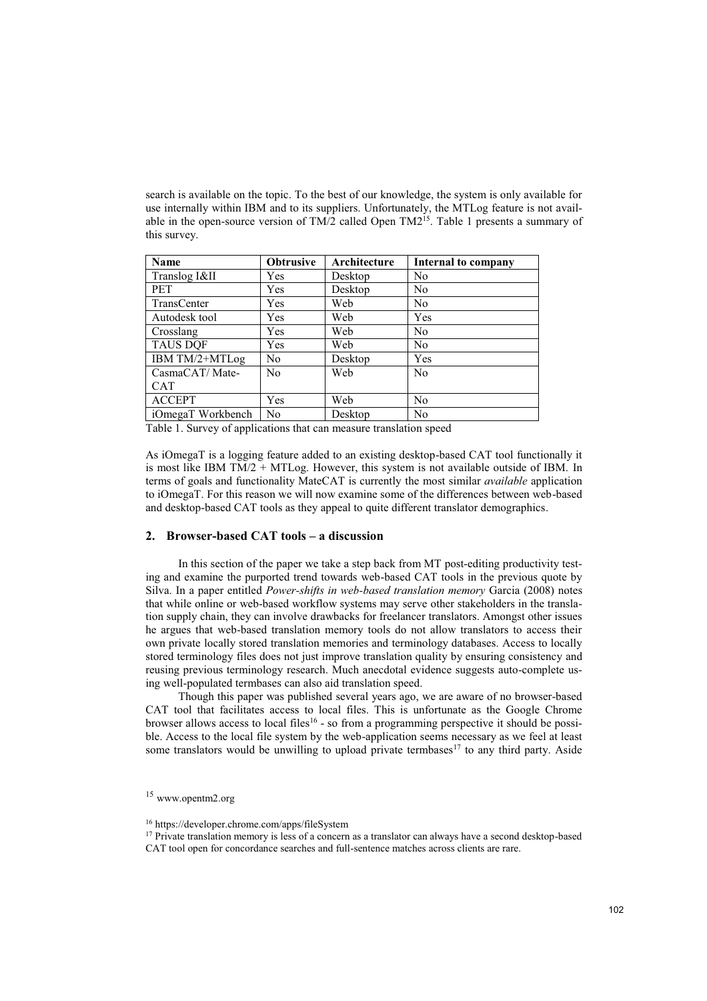search is available on the topic. To the best of our knowledge, the system is only available for use internally within IBM and to its suppliers. Unfortunately, the MTLog feature is not available in the open-source version of  $TM/2$  called Open  $TM^{2<sub>15</sub>'}$ . Table 1 presents a summary of this survey.

| Name              | <b>Obtrusive</b> | Architecture | <b>Internal to company</b> |
|-------------------|------------------|--------------|----------------------------|
| Translog I&II     | Yes              | Desktop      | N <sub>0</sub>             |
| <b>PET</b>        | Yes              | Desktop      | N <sub>0</sub>             |
| TransCenter       | Yes              | Web          | N <sub>0</sub>             |
| Autodesk tool     | Yes              | Web          | Yes                        |
| Crosslang         | Yes              | Web          | N <sub>0</sub>             |
| <b>TAUS DOF</b>   | Yes              | Web          | N <sub>0</sub>             |
| IBM TM/2+MTLog    | N <sub>0</sub>   | Desktop      | Yes                        |
| CasmaCAT/Mate-    | N <sub>0</sub>   | Web          | N <sub>0</sub>             |
| <b>CAT</b>        |                  |              |                            |
| <b>ACCEPT</b>     | Yes              | Web          | N <sub>0</sub>             |
| iOmegaT Workbench | N <sub>0</sub>   | Desktop      | N <sub>0</sub>             |

Table 1. Survey of applications that can measure translation speed

As iOmegaT is a logging feature added to an existing desktop-based CAT tool functionally it is most like IBM  $TM/2 + MTLog$ . However, this system is not available outside of IBM. In terms of goals and functionality MateCAT is currently the most similar *available* application to iOmegaT. For this reason we will now examine some of the differences between web-based and desktop-based CAT tools as they appeal to quite different translator demographics.

## **2. Browser-based CAT tools – a discussion**

In this section of the paper we take a step back from MT post-editing productivity testing and examine the purported trend towards web-based CAT tools in the previous quote by Silva. In a paper entitled *Power-shifts in web-based translation memory* Garcia (2008) notes that while online or web-based workflow systems may serve other stakeholders in the translation supply chain, they can involve drawbacks for freelancer translators. Amongst other issues he argues that web-based translation memory tools do not allow translators to access their own private locally stored translation memories and terminology databases. Access to locally stored terminology files does not just improve translation quality by ensuring consistency and reusing previous terminology research. Much anecdotal evidence suggests auto-complete using well-populated termbases can also aid translation speed.

Though this paper was published several years ago, we are aware of no browser-based CAT tool that facilitates access to local files. This is unfortunate as the Google Chrome browser allows access to local files<sup>16</sup> - so from a programming perspective it should be possible. Access to the local file system by the web-application seems necessary as we feel at least some translators would be unwilling to upload private termbases<sup>17</sup> to any third party. Aside

<sup>15</sup> www.opentm2.org

<sup>16</sup> https://developer.chrome.com/apps/fileSystem

<sup>&</sup>lt;sup>17</sup> Private translation memory is less of a concern as a translator can always have a second desktop-based

CAT tool open for concordance searches and full-sentence matches across clients are rare.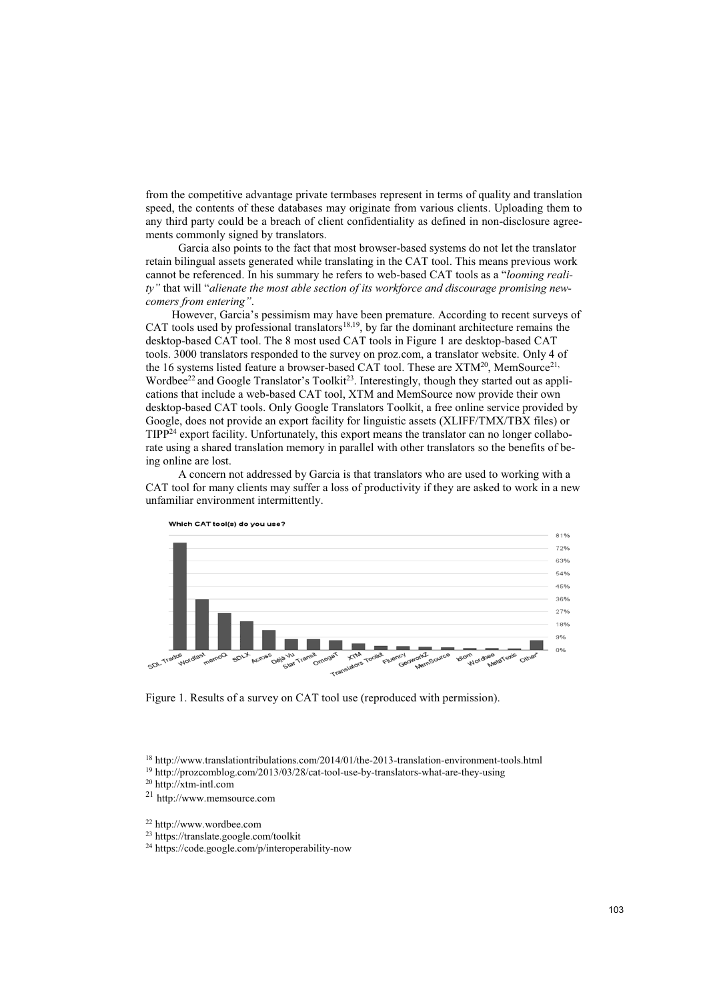from the competitive advantage private termbases represent in terms of quality and translation speed, the contents of these databases may originate from various clients. Uploading them to any third party could be a breach of client confidentiality as defined in non-disclosure agreements commonly signed by translators.

Garcia also points to the fact that most browser-based systems do not let the translator retain bilingual assets generated while translating in the CAT tool. This means previous work cannot be referenced. In his summary he refers to web-based CAT tools as a "*looming reality"* that will "*alienate the most able section of its workforce and discourage promising newcomers from entering"*.

However, Garcia's pessimism may have been premature. According to recent surveys of CAT tools used by professional translators $18,19$ , by far the dominant architecture remains the desktop-based CAT tool. The 8 most used CAT tools in Figure 1 are desktop-based CAT tools. 3000 translators responded to the survey on proz.com, a translator website. Only 4 of the 16 systems listed feature a browser-based CAT tool. These are XTM<sup>20</sup>, MemSource<sup>21,</sup> Wordbee<sup>22</sup> and Google Translator's Toolkit<sup>23</sup>. Interestingly, though they started out as applications that include a web-based CAT tool, XTM and MemSource now provide their own desktop-based CAT tools. Only Google Translators Toolkit, a free online service provided by Google, does not provide an export facility for linguistic assets (XLIFF/TMX/TBX files) or TIPP24 export facility. Unfortunately, this export means the translator can no longer collaborate using a shared translation memory in parallel with other translators so the benefits of being online are lost.

A concern not addressed by Garcia is that translators who are used to working with a CAT tool for many clients may suffer a loss of productivity if they are asked to work in a new unfamiliar environment intermittently.



Figure 1. Results of a survey on CAT tool use (reproduced with permission).

<sup>21</sup> http://www.memsource.com

24 https://code.google.com/p/interoperability-now

<sup>&</sup>lt;sup>18</sup> http://www.translationtribulations.com/2014/01/the-2013-translation-environment-tools.html <sup>19</sup> http://prozcomblog.com/2013/03/28/cat-tool-use-by-translators-what-are-they-using <sup>20</sup> http://xtm-intl.com

<sup>22</sup> http://www.wordbee.com

<sup>23</sup> https://translate.google.com/toolkit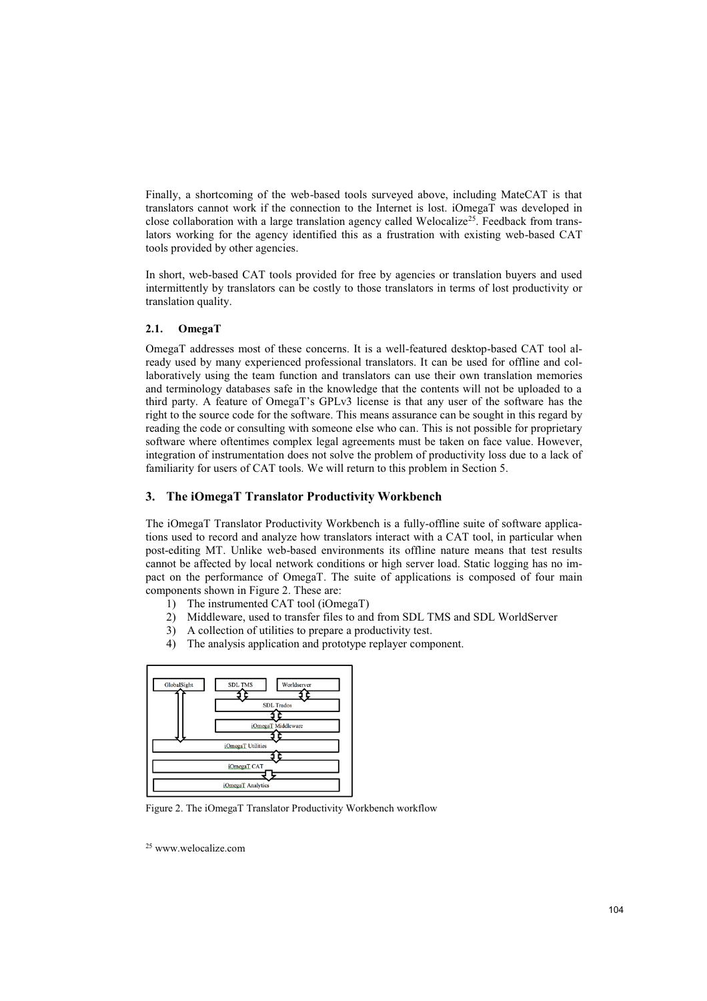Finally, a shortcoming of the web-based tools surveyed above, including MateCAT is that translators cannot work if the connection to the Internet is lost. iOmegaT was developed in close collaboration with a large translation agency called Welocalize<sup>25</sup>. Feedback from translators working for the agency identified this as a frustration with existing web-based CAT tools provided by other agencies.

In short, web-based CAT tools provided for free by agencies or translation buyers and used intermittently by translators can be costly to those translators in terms of lost productivity or translation quality.

# **2.1. OmegaT**

OmegaT addresses most of these concerns. It is a well-featured desktop-based CAT tool already used by many experienced professional translators. It can be used for offline and collaboratively using the team function and translators can use their own translation memories and terminology databases safe in the knowledge that the contents will not be uploaded to a third party. A feature of OmegaT's GPLv3 license is that any user of the software has the right to the source code for the software. This means assurance can be sought in this regard by reading the code or consulting with someone else who can. This is not possible for proprietary software where oftentimes complex legal agreements must be taken on face value. However, integration of instrumentation does not solve the problem of productivity loss due to a lack of familiarity for users of CAT tools. We will return to this problem in Section 5.

# **3. The iOmegaT Translator Productivity Workbench**

The iOmegaT Translator Productivity Workbench is a fully-offline suite of software applications used to record and analyze how translators interact with a CAT tool, in particular when post-editing MT. Unlike web-based environments its offline nature means that test results cannot be affected by local network conditions or high server load. Static logging has no impact on the performance of OmegaT. The suite of applications is composed of four main components shown in Figure 2. These are:

- 1) The instrumented CAT tool (iOmegaT)
- 2) Middleware, used to transfer files to and from SDL TMS and SDL WorldServer
- 3) A collection of utilities to prepare a productivity test.
- 4) The analysis application and prototype replayer component.



Figure 2. The iOmegaT Translator Productivity Workbench workflow

25 www.welocalize.com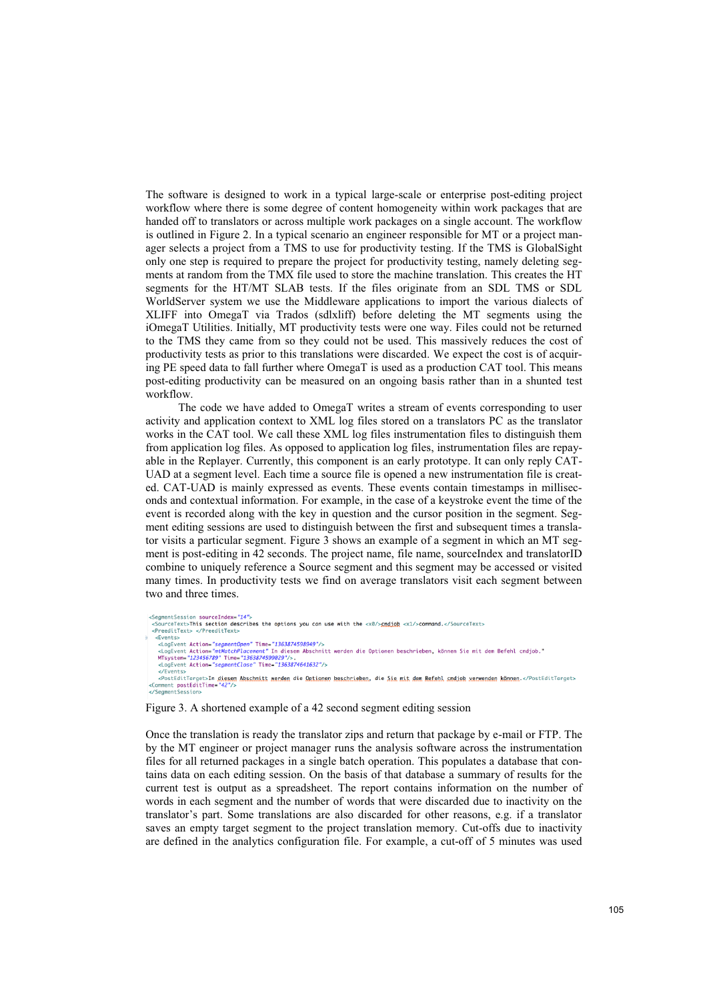The software is designed to work in a typical large-scale or enterprise post-editing project workflow where there is some degree of content homogeneity within work packages that are handed off to translators or across multiple work packages on a single account. The workflow is outlined in Figure 2. In a typical scenario an engineer responsible for MT or a project manager selects a project from a TMS to use for productivity testing. If the TMS is GlobalSight only one step is required to prepare the project for productivity testing, namely deleting segments at random from the TMX file used to store the machine translation. This creates the HT segments for the HT/MT SLAB tests. If the files originate from an SDL TMS or SDL WorldServer system we use the Middleware applications to import the various dialects of XLIFF into OmegaT via Trados (sdlxliff) before deleting the MT segments using the iOmegaT Utilities. Initially, MT productivity tests were one way. Files could not be returned to the TMS they came from so they could not be used. This massively reduces the cost of productivity tests as prior to this translations were discarded. We expect the cost is of acquiring PE speed data to fall further where OmegaT is used as a production CAT tool. This means post-editing productivity can be measured on an ongoing basis rather than in a shunted test workflow.

The code we have added to OmegaT writes a stream of events corresponding to user activity and application context to XML log files stored on a translators PC as the translator works in the CAT tool. We call these XML log files instrumentation files to distinguish them from application log files. As opposed to application log files, instrumentation files are repayable in the Replayer. Currently, this component is an early prototype. It can only reply CAT-UAD at a segment level. Each time a source file is opened a new instrumentation file is created. CAT-UAD is mainly expressed as events. These events contain timestamps in milliseconds and contextual information. For example, in the case of a keystroke event the time of the event is recorded along with the key in question and the cursor position in the segment. Segment editing sessions are used to distinguish between the first and subsequent times a translator visits a particular segment. Figure 3 shows an example of a segment in which an MT segment is post-editing in 42 seconds. The project name, file name, sourceIndex and translatorID combine to uniquely reference a Source segment and this segment may be accessed or visited many times. In productivity tests we find on average translators visit each segment between two and three times.

```
montSaccion courceIndex-"14"
      <sub>ument</sub>uession suurceinues= 1* ><br>burceText>This section describes the options you can use with the <x0/><mark>smdjob</mark> <x1/>><command.</SourceText><br>reeditText> </PreeditText>
    ckvents><br><logEvent Action="segmentOpen" Time="1363874598949"/><br><logEvent Action="mtMatchPlacement" In diesem Abschnitt werden die Optionen beschrieben, können Sie mit dem Befehl cmdjob."<br>MTsystem="123456789" Time="13638745
</reents><br><PostEditTarget>In <u>diesem Abschnitt werden</u> die <u>Optionen beschrieben</u>, die <u>Sie mit dem Befehl smdjob verwenden können</u> </PostEditTarget><br><Comment postEditTime="42"/><br></SegmentSession>
```
## Figure 3. A shortened example of a 42 second segment editing session

Once the translation is ready the translator zips and return that package by e-mail or FTP. The by the MT engineer or project manager runs the analysis software across the instrumentation files for all returned packages in a single batch operation. This populates a database that contains data on each editing session. On the basis of that database a summary of results for the current test is output as a spreadsheet. The report contains information on the number of words in each segment and the number of words that were discarded due to inactivity on the translator's part. Some translations are also discarded for other reasons, e.g. if a translator saves an empty target segment to the project translation memory. Cut-offs due to inactivity are defined in the analytics configuration file. For example, a cut-off of 5 minutes was used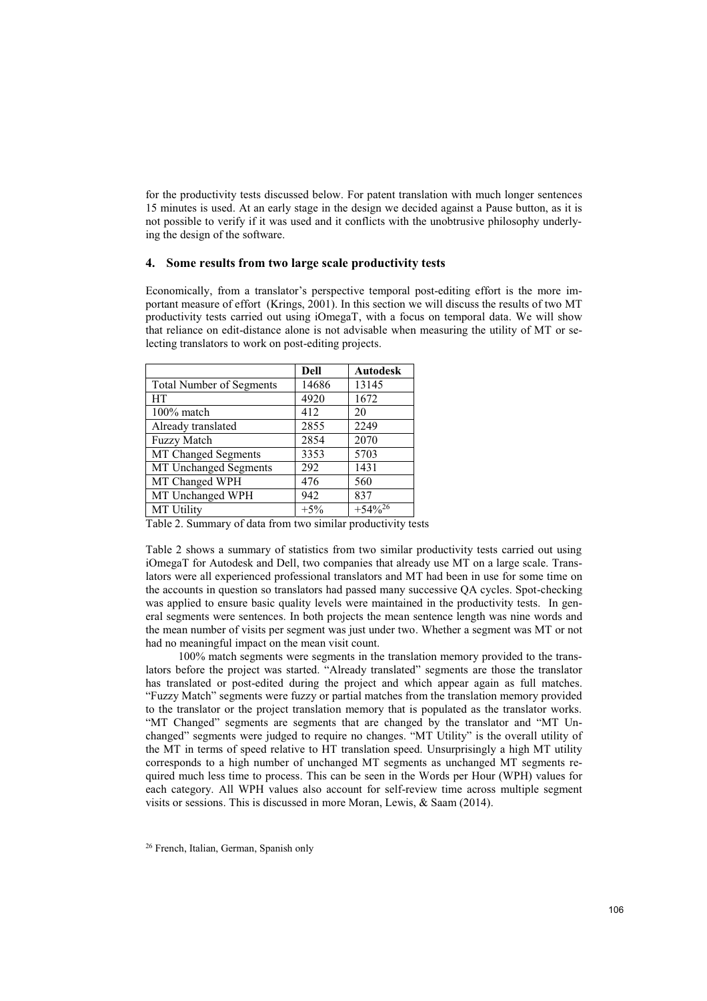for the productivity tests discussed below. For patent translation with much longer sentences 15 minutes is used. At an early stage in the design we decided against a Pause button, as it is not possible to verify if it was used and it conflicts with the unobtrusive philosophy underlying the design of the software.

#### **4. Some results from two large scale productivity tests**

Economically, from a translator's perspective temporal post-editing effort is the more important measure of effort (Krings, 2001). In this section we will discuss the results of two MT productivity tests carried out using iOmegaT, with a focus on temporal data. We will show that reliance on edit-distance alone is not advisable when measuring the utility of MT or selecting translators to work on post-editing projects.

|                                 | <b>Dell</b> | <b>Autodesk</b> |
|---------------------------------|-------------|-----------------|
| <b>Total Number of Segments</b> | 14686       | 13145           |
| <b>HT</b>                       | 4920        | 1672            |
| 100% match                      | 412         | 20              |
| Already translated              | 2855        | 2249            |
| <b>Fuzzy Match</b>              | 2854        | 2070            |
| MT Changed Segments             | 3353        | 5703            |
| MT Unchanged Segments           | 292         | 1431            |
| MT Changed WPH                  | 476         | 560             |
| MT Unchanged WPH                | 942         | 837             |
| <b>MT Utility</b>               | $+5\%$      | $+54\%^{26}$    |

Table 2. Summary of data from two similar productivity tests

Table 2 shows a summary of statistics from two similar productivity tests carried out using iOmegaT for Autodesk and Dell, two companies that already use MT on a large scale. Translators were all experienced professional translators and MT had been in use for some time on the accounts in question so translators had passed many successive QA cycles. Spot-checking was applied to ensure basic quality levels were maintained in the productivity tests. In general segments were sentences. In both projects the mean sentence length was nine words and the mean number of visits per segment was just under two. Whether a segment was MT or not had no meaningful impact on the mean visit count.

100% match segments were segments in the translation memory provided to the translators before the project was started. "Already translated" segments are those the translator has translated or post-edited during the project and which appear again as full matches. "Fuzzy Match" segments were fuzzy or partial matches from the translation memory provided to the translator or the project translation memory that is populated as the translator works. "MT Changed" segments are segments that are changed by the translator and "MT Unchanged" segments were judged to require no changes. "MT Utility" is the overall utility of the MT in terms of speed relative to HT translation speed. Unsurprisingly a high MT utility corresponds to a high number of unchanged MT segments as unchanged MT segments required much less time to process. This can be seen in the Words per Hour (WPH) values for each category. All WPH values also account for self-review time across multiple segment visits or sessions. This is discussed in more Moran, Lewis, & Saam (2014).

<sup>26</sup> French, Italian, German, Spanish only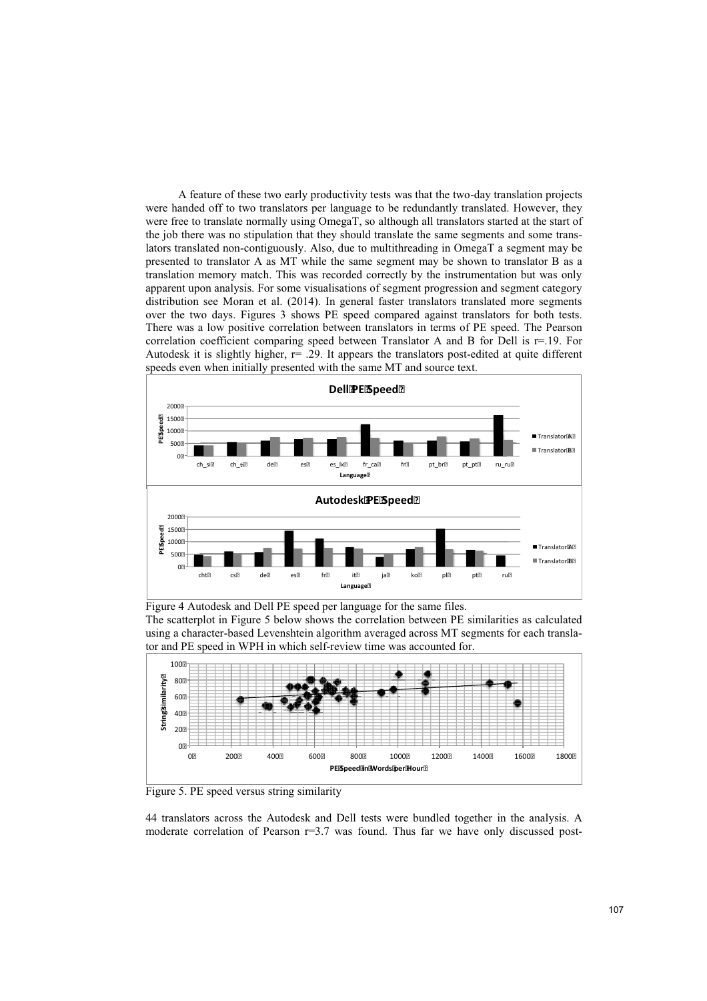A feature of these two early productivity tests was that the two-day translation projects were handed off to two translators per language to be redundantly translated. However, they were free to translate normally using OmegaT, so although all translators started at the start of the job there was no stipulation that they should translate the same segments and some translators translated non-contiguously. Also, due to multithreading in OmegaT a segment may be presented to translator A as MT while the same segment may be shown to translator B as a translation memory match. This was recorded correctly by the instrumentation but was only apparent upon analysis. For some visualisations of segment progression and segment category distribution see Moran et al. (2014). In general faster translators translated more segments over the two days. Figures 3 shows PE speed compared against translators for both tests. There was a low positive correlation between translators in terms of PE speed. The Pearson correlation coefficient comparing speed between Translator A and B for Dell is r=.19. For Autodesk it is slightly higher, r= .29. It appears the translators post-edited at quite different speeds even when initially presented with the same MT and source text.



Figure 4 Autodesk and Dell PE speed per language for the same files.

The scatterplot in Figure 5 below shows the correlation between PE similarities as calculated using a character-based Levenshtein algorithm averaged across MT segments for each translator and PE speed in WPH in which self-review time was accounted for.



Figure 5. PE speed versus string similarity

44 translators across the Autodesk and Dell tests were bundled together in the analysis. A moderate correlation of Pearson r=3.7 was found. Thus far we have only discussed post-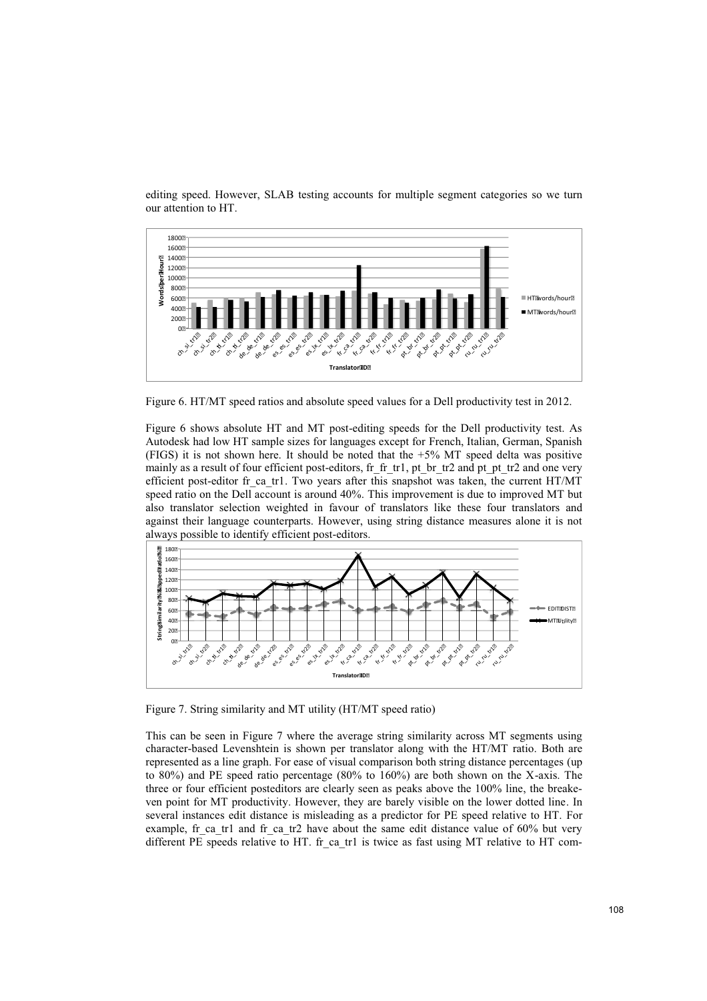

editing speed. However, SLAB testing accounts for multiple segment categories so we turn our attention to HT.

Figure 6. HT/MT speed ratios and absolute speed values for a Dell productivity test in 2012.

Figure 6 shows absolute HT and MT post-editing speeds for the Dell productivity test. As Autodesk had low HT sample sizes for languages except for French, Italian, German, Spanish (FIGS) it is not shown here. It should be noted that the +5% MT speed delta was positive mainly as a result of four efficient post-editors, fr\_fr\_tr1, pt\_br\_tr2 and pt\_pt\_tr2 and one very efficient post-editor fr ca tr1. Two years after this snapshot was taken, the current HT/MT speed ratio on the Dell account is around 40%. This improvement is due to improved MT but also translator selection weighted in favour of translators like these four translators and against their language counterparts. However, using string distance measures alone it is not always possible to identify efficient post-editors.



Figure 7. String similarity and MT utility (HT/MT speed ratio)

This can be seen in Figure 7 where the average string similarity across MT segments using character-based Levenshtein is shown per translator along with the HT/MT ratio. Both are represented as a line graph. For ease of visual comparison both string distance percentages (up to 80%) and PE speed ratio percentage (80% to 160%) are both shown on the X-axis. The three or four efficient posteditors are clearly seen as peaks above the 100% line, the breakeven point for MT productivity. However, they are barely visible on the lower dotted line. In several instances edit distance is misleading as a predictor for PE speed relative to HT. For example, fr\_ca\_tr1 and fr\_ca\_tr2 have about the same edit distance value of  $60\%$  but very different PE speeds relative to HT. fr\_ca\_tr1 is twice as fast using MT relative to HT com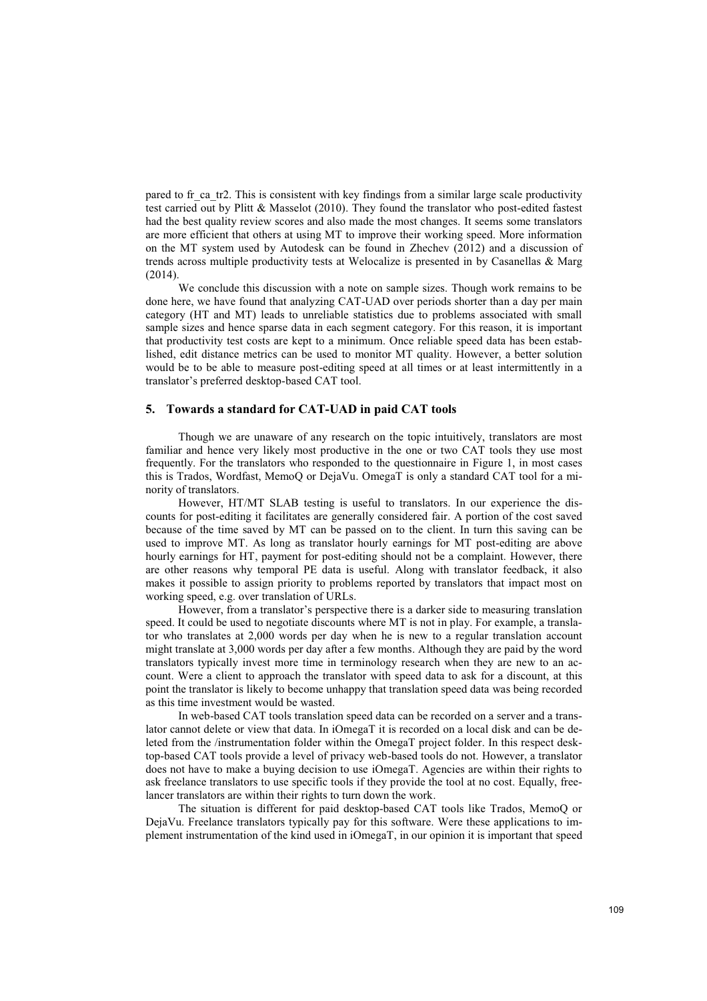pared to fr\_ca\_tr2. This is consistent with key findings from a similar large scale productivity test carried out by Plitt & Masselot (2010). They found the translator who post-edited fastest had the best quality review scores and also made the most changes. It seems some translators are more efficient that others at using MT to improve their working speed. More information on the MT system used by Autodesk can be found in Zhechev (2012) and a discussion of trends across multiple productivity tests at Welocalize is presented in by Casanellas & Marg (2014).

We conclude this discussion with a note on sample sizes. Though work remains to be done here, we have found that analyzing CAT-UAD over periods shorter than a day per main category (HT and MT) leads to unreliable statistics due to problems associated with small sample sizes and hence sparse data in each segment category. For this reason, it is important that productivity test costs are kept to a minimum. Once reliable speed data has been established, edit distance metrics can be used to monitor MT quality. However, a better solution would be to be able to measure post-editing speed at all times or at least intermittently in a translator's preferred desktop-based CAT tool.

## **5. Towards a standard for CAT-UAD in paid CAT tools**

Though we are unaware of any research on the topic intuitively, translators are most familiar and hence very likely most productive in the one or two CAT tools they use most frequently. For the translators who responded to the questionnaire in Figure 1, in most cases this is Trados, Wordfast, MemoQ or DejaVu. OmegaT is only a standard CAT tool for a minority of translators.

However, HT/MT SLAB testing is useful to translators. In our experience the discounts for post-editing it facilitates are generally considered fair. A portion of the cost saved because of the time saved by MT can be passed on to the client. In turn this saving can be used to improve MT. As long as translator hourly earnings for MT post-editing are above hourly earnings for HT, payment for post-editing should not be a complaint. However, there are other reasons why temporal PE data is useful. Along with translator feedback, it also makes it possible to assign priority to problems reported by translators that impact most on working speed, e.g. over translation of URLs.

However, from a translator's perspective there is a darker side to measuring translation speed. It could be used to negotiate discounts where MT is not in play. For example, a translator who translates at 2,000 words per day when he is new to a regular translation account might translate at 3,000 words per day after a few months. Although they are paid by the word translators typically invest more time in terminology research when they are new to an account. Were a client to approach the translator with speed data to ask for a discount, at this point the translator is likely to become unhappy that translation speed data was being recorded as this time investment would be wasted.

In web-based CAT tools translation speed data can be recorded on a server and a translator cannot delete or view that data. In iOmegaT it is recorded on a local disk and can be deleted from the /instrumentation folder within the OmegaT project folder. In this respect desktop-based CAT tools provide a level of privacy web-based tools do not. However, a translator does not have to make a buying decision to use iOmegaT. Agencies are within their rights to ask freelance translators to use specific tools if they provide the tool at no cost. Equally, freelancer translators are within their rights to turn down the work.

The situation is different for paid desktop-based CAT tools like Trados, MemoQ or DejaVu. Freelance translators typically pay for this software. Were these applications to implement instrumentation of the kind used in iOmegaT, in our opinion it is important that speed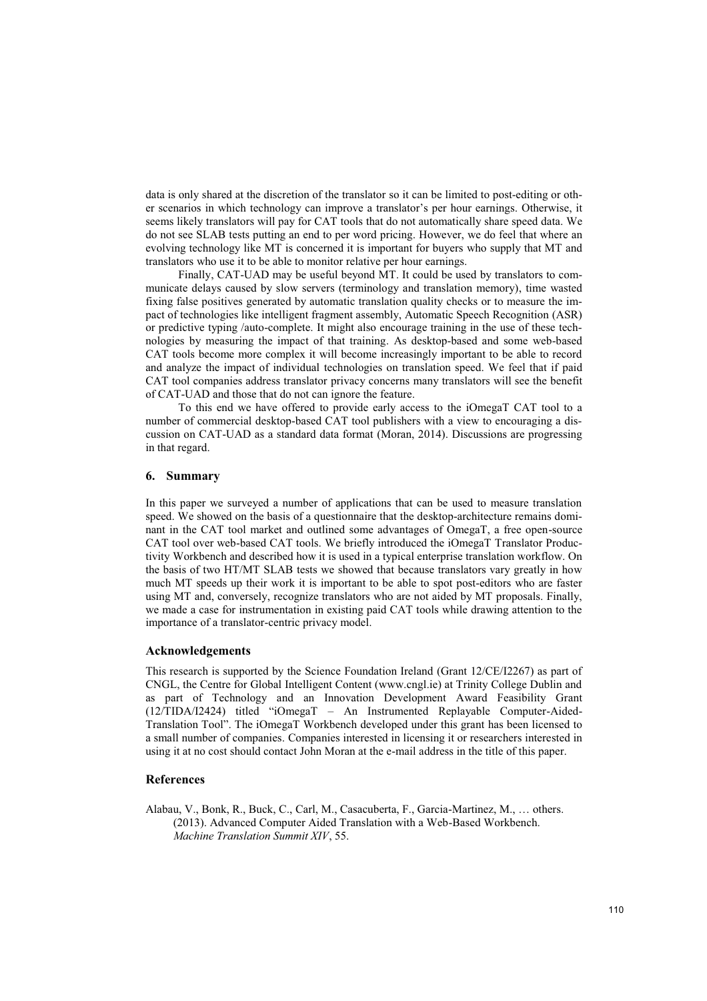data is only shared at the discretion of the translator so it can be limited to post-editing or other scenarios in which technology can improve a translator's per hour earnings. Otherwise, it seems likely translators will pay for CAT tools that do not automatically share speed data. We do not see SLAB tests putting an end to per word pricing. However, we do feel that where an evolving technology like MT is concerned it is important for buyers who supply that MT and translators who use it to be able to monitor relative per hour earnings.

Finally, CAT-UAD may be useful beyond MT. It could be used by translators to communicate delays caused by slow servers (terminology and translation memory), time wasted fixing false positives generated by automatic translation quality checks or to measure the impact of technologies like intelligent fragment assembly, Automatic Speech Recognition (ASR) or predictive typing /auto-complete. It might also encourage training in the use of these technologies by measuring the impact of that training. As desktop-based and some web-based CAT tools become more complex it will become increasingly important to be able to record and analyze the impact of individual technologies on translation speed. We feel that if paid CAT tool companies address translator privacy concerns many translators will see the benefit of CAT-UAD and those that do not can ignore the feature.

To this end we have offered to provide early access to the iOmegaT CAT tool to a number of commercial desktop-based CAT tool publishers with a view to encouraging a discussion on CAT-UAD as a standard data format (Moran, 2014). Discussions are progressing in that regard.

## **6. Summary**

In this paper we surveyed a number of applications that can be used to measure translation speed. We showed on the basis of a questionnaire that the desktop-architecture remains dominant in the CAT tool market and outlined some advantages of OmegaT, a free open-source CAT tool over web-based CAT tools. We briefly introduced the iOmegaT Translator Productivity Workbench and described how it is used in a typical enterprise translation workflow. On the basis of two HT/MT SLAB tests we showed that because translators vary greatly in how much MT speeds up their work it is important to be able to spot post-editors who are faster using MT and, conversely, recognize translators who are not aided by MT proposals. Finally, we made a case for instrumentation in existing paid CAT tools while drawing attention to the importance of a translator-centric privacy model.

# **Acknowledgements**

This research is supported by the Science Foundation Ireland (Grant 12/CE/I2267) as part of CNGL, the Centre for Global Intelligent Content (www.cngl.ie) at Trinity College Dublin and as part of Technology and an Innovation Development Award Feasibility Grant (12/TIDA/I2424) titled "iOmegaT – An Instrumented Replayable Computer-Aided-Translation Tool". The iOmegaT Workbench developed under this grant has been licensed to a small number of companies. Companies interested in licensing it or researchers interested in using it at no cost should contact John Moran at the e-mail address in the title of this paper.

#### **References**

Alabau, V., Bonk, R., Buck, C., Carl, M., Casacuberta, F., Garcia-Martinez, M., … others. (2013). Advanced Computer Aided Translation with a Web-Based Workbench. *Machine Translation Summit XIV*, 55.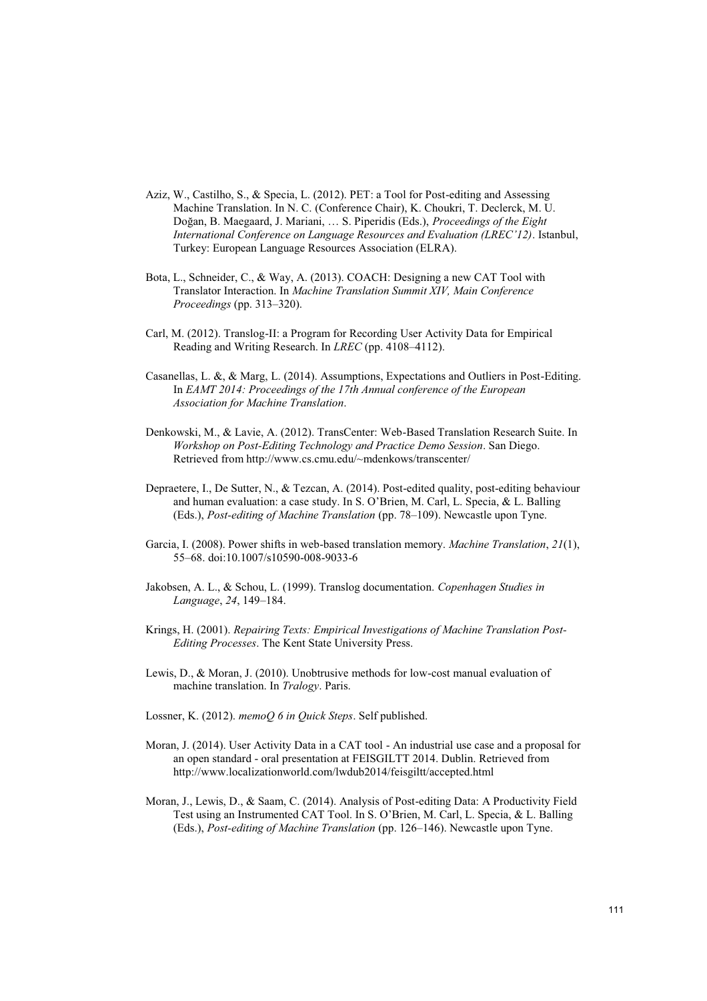- Aziz, W., Castilho, S., & Specia, L. (2012). PET: a Tool for Post-editing and Assessing Machine Translation. In N. C. (Conference Chair), K. Choukri, T. Declerck, M. U. Doğan, B. Maegaard, J. Mariani, … S. Piperidis (Eds.), *Proceedings of the Eight International Conference on Language Resources and Evaluation (LREC'12)*. Istanbul, Turkey: European Language Resources Association (ELRA).
- Bota, L., Schneider, C., & Way, A. (2013). COACH: Designing a new CAT Tool with Translator Interaction. In *Machine Translation Summit XIV, Main Conference Proceedings* (pp. 313–320).
- Carl, M. (2012). Translog-II: a Program for Recording User Activity Data for Empirical Reading and Writing Research. In *LREC* (pp. 4108–4112).
- Casanellas, L. &, & Marg, L. (2014). Assumptions, Expectations and Outliers in Post-Editing. In *EAMT 2014: Proceedings of the 17th Annual conference of the European Association for Machine Translation*.
- Denkowski, M., & Lavie, A. (2012). TransCenter: Web-Based Translation Research Suite. In *Workshop on Post-Editing Technology and Practice Demo Session*. San Diego. Retrieved from http://www.cs.cmu.edu/~mdenkows/transcenter/
- Depraetere, I., De Sutter, N., & Tezcan, A. (2014). Post-edited quality, post-editing behaviour and human evaluation: a case study. In S. O'Brien, M. Carl, L. Specia, & L. Balling (Eds.), *Post-editing of Machine Translation* (pp. 78–109). Newcastle upon Tyne.
- Garcia, I. (2008). Power shifts in web-based translation memory. *Machine Translation*, *21*(1), 55–68. doi:10.1007/s10590-008-9033-6
- Jakobsen, A. L., & Schou, L. (1999). Translog documentation. *Copenhagen Studies in Language*, *24*, 149–184.
- Krings, H. (2001). *Repairing Texts: Empirical Investigations of Machine Translation Post-Editing Processes*. The Kent State University Press.
- Lewis, D., & Moran, J. (2010). Unobtrusive methods for low-cost manual evaluation of machine translation. In *Tralogy*. Paris.
- Lossner, K. (2012). *memoQ 6 in Quick Steps*. Self published.
- Moran, J. (2014). User Activity Data in a CAT tool An industrial use case and a proposal for an open standard - oral presentation at FEISGILTT 2014. Dublin. Retrieved from http://www.localizationworld.com/lwdub2014/feisgiltt/accepted.html
- Moran, J., Lewis, D., & Saam, C. (2014). Analysis of Post-editing Data: A Productivity Field Test using an Instrumented CAT Tool. In S. O'Brien, M. Carl, L. Specia, & L. Balling (Eds.), *Post-editing of Machine Translation* (pp. 126–146). Newcastle upon Tyne.